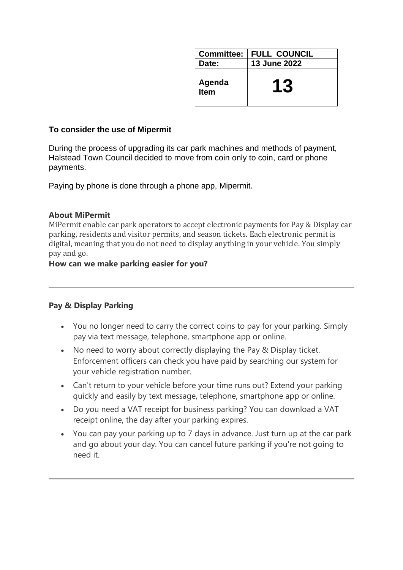| <b>Committee:</b> | <b>FULL COUNCIL</b> |
|-------------------|---------------------|
| Date:             | <b>13 June 2022</b> |
| Agenda<br>Item    | 13                  |

#### **To consider the use of Mipermit**

During the process of upgrading its car park machines and methods of payment, Halstead Town Council decided to move from coin only to coin, card or phone payments.

Paying by phone is done through a phone app, Mipermit.

#### **About MiPermit**

MiPermit enable car park operators to accept electronic payments for Pay & Display car parking, residents and visitor permits, and season tickets. Each electronic permit is digital, meaning that you do not need to display anything in your vehicle. You simply pay and go.

### **How can we make parking easier for you?**

### **Pay & Display Parking**

- You no longer need to carry the correct coins to pay for your parking. Simply pay via text message, telephone, smartphone app or online.
- No need to worry about correctly displaying the Pay & Display ticket. Enforcement officers can check you have paid by searching our system for your vehicle registration number.
- Can't return to your vehicle before your time runs out? Extend your parking quickly and easily by text message, telephone, smartphone app or online.
- Do you need a VAT receipt for business parking? You can download a VAT receipt online, the day after your parking expires.
- You can pay your parking up to 7 days in advance. Just turn up at the car park and go about your day. You can cancel future parking if you're not going to need it.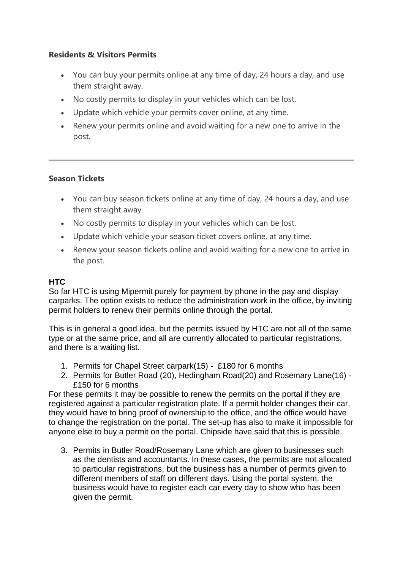## **Residents & Visitors Permits**

- You can buy your permits online at any time of day, 24 hours a day, and use them straight away.
- No costly permits to display in your vehicles which can be lost.
- Update which vehicle your permits cover online, at any time.
- Renew your permits online and avoid waiting for a new one to arrive in the post.

## **Season Tickets**

- You can buy season tickets online at any time of day, 24 hours a day, and use them straight away.
- No costly permits to display in your vehicles which can be lost.
- Update which vehicle your season ticket covers online, at any time.
- Renew your season tickets online and avoid waiting for a new one to arrive in the post.

# **HTC**

So far HTC is using Mipermit purely for payment by phone in the pay and display carparks. The option exists to reduce the administration work in the office, by inviting permit holders to renew their permits online through the portal.

This is in general a good idea, but the permits issued by HTC are not all of the same type or at the same price, and all are currently allocated to particular registrations, and there is a waiting list.

- 1. Permits for Chapel Street carpark(15) £180 for 6 months
- 2. Permits for Butler Road (20), Hedingham Road(20) and Rosemary Lane(16) £150 for 6 months

For these permits it may be possible to renew the permits on the portal if they are registered against a particular registration plate. If a permit holder changes their car, they would have to bring proof of ownership to the office, and the office would have to change the registration on the portal. The set-up has also to make it impossible for anyone else to buy a permit on the portal. Chipside have said that this is possible.

3. Permits in Butler Road/Rosemary Lane which are given to businesses such as the dentists and accountants. In these cases, the permits are not allocated to particular registrations, but the business has a number of permits given to different members of staff on different days. Using the portal system, the business would have to register each car every day to show who has been given the permit.